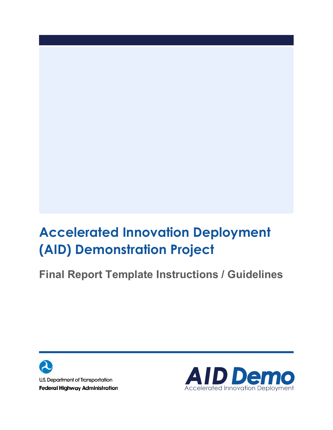## **Accelerated Innovation Deployment (AID) Demonstration Project**

**Final Report Template Instructions / Guidelines**



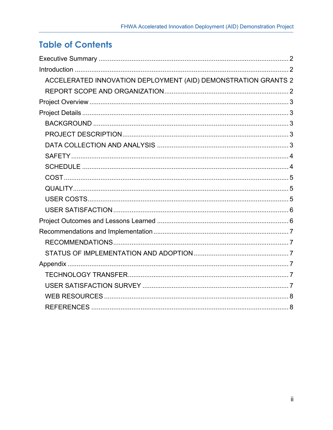## **Table of Contents**

| ACCELERATED INNOVATION DEPLOYMENT (AID) DEMONSTRATION GRANTS 2 |
|----------------------------------------------------------------|
|                                                                |
|                                                                |
|                                                                |
|                                                                |
|                                                                |
|                                                                |
|                                                                |
|                                                                |
|                                                                |
|                                                                |
|                                                                |
|                                                                |
|                                                                |
|                                                                |
|                                                                |
|                                                                |
|                                                                |
|                                                                |
|                                                                |
|                                                                |
|                                                                |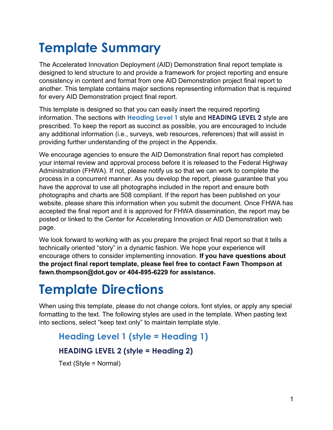# **Template Summary**

The Accelerated Innovation Deployment (AID) Demonstration final report template is designed to lend structure to and provide a framework for project reporting and ensure consistency in content and format from one AID Demonstration project final report to another. This template contains major sections representing information that is required for every AID Demonstration project final report.

This template is designed so that you can easily insert the required reporting information. The sections with **Heading Level 1** style and **HEADING LEVEL 2** style are prescribed. To keep the report as succinct as possible, you are encouraged to include any additional information (i.e., surveys, web resources, references) that will assist in providing further understanding of the project in the Appendix.

We encourage agencies to ensure the AID Demonstration final report has completed your internal review and approval process before it is released to the Federal Highway Administration (FHWA). If not, please notify us so that we can work to complete the process in a concurrent manner. As you develop the report, please guarantee that you have the approval to use all photographs included in the report and ensure both photographs and charts are 508 compliant. If the report has been published on your website, please share this information when you submit the document. Once FHWA has accepted the final report and it is approved for FHWA dissemination, the report may be posted or linked to the Center for Accelerating Innovation or AID Demonstration web page.

We look forward to working with as you prepare the project final report so that it tells a technically oriented "story" in a dynamic fashion. We hope your experience will encourage others to consider implementing innovation. **If you have questions about the project final report template, please feel free to contact Fawn Thompson at fawn.thompson@dot.gov or 404-895-6229 for assistance.**

## **Template Directions**

When using this template, please do not change colors, font styles, or apply any special formatting to the text. The following styles are used in the template. When pasting text into sections, select "keep text only" to maintain template style.

**Heading Level 1 (style = Heading 1) HEADING LEVEL 2 (style = Heading 2)**

Text (Style = Normal)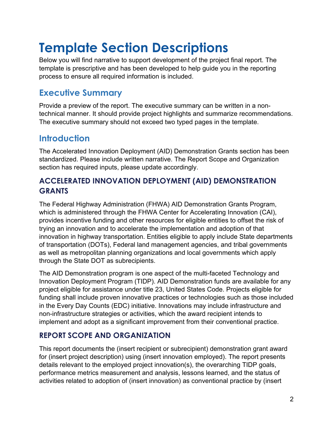## **Template Section Descriptions**

Below you will find narrative to support development of the project final report. The template is prescriptive and has been developed to help guide you in the reporting process to ensure all required information is included.

## <span id="page-3-0"></span>**Executive Summary**

Provide a preview of the report. The executive summary can be written in a nontechnical manner. It should provide project highlights and summarize recommendations. The executive summary should not exceed two typed pages in the template.

## <span id="page-3-1"></span>**Introduction**

The Accelerated Innovation Deployment (AID) Demonstration Grants section has been standardized. Please include written narrative. The Report Scope and Organization section has required inputs, please update accordingly.

### <span id="page-3-2"></span>**ACCELERATED INNOVATION DEPLOYMENT (AID) DEMONSTRATION GRANTS**

The Federal Highway Administration (FHWA) AID Demonstration Grants Program, which is administered through the FHWA Center for Accelerating Innovation (CAI), provides incentive funding and other resources for eligible entities to offset the risk of trying an innovation and to accelerate the implementation and adoption of that innovation in highway transportation. Entities eligible to apply include State departments of transportation (DOTs), Federal land management agencies, and tribal governments as well as metropolitan planning organizations and local governments which apply through the State DOT as subrecipients.

The AID Demonstration program is one aspect of the multi-faceted Technology and Innovation Deployment Program (TIDP). AID Demonstration funds are available for any project eligible for assistance under title 23, United States Code. Projects eligible for funding shall include proven innovative practices or technologies such as those included in the Every Day Counts (EDC) initiative. Innovations may include infrastructure and non-infrastructure strategies or activities, which the award recipient intends to implement and adopt as a significant improvement from their conventional practice.

### <span id="page-3-3"></span>**REPORT SCOPE AND ORGANIZATION**

This report documents the (insert recipient or subrecipient) demonstration grant award for (insert project description) using (insert innovation employed). The report presents details relevant to the employed project innovation(s), the overarching TIDP goals, performance metrics measurement and analysis, lessons learned, and the status of activities related to adoption of (insert innovation) as conventional practice by (insert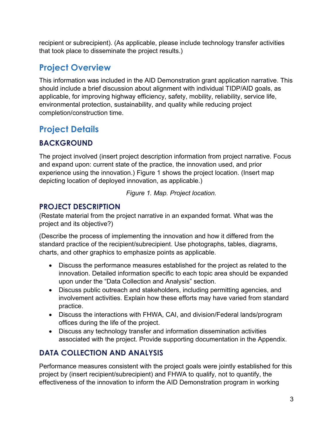recipient or subrecipient). (As applicable, please include technology transfer activities that took place to disseminate the project results.)

## <span id="page-4-0"></span>**Project Overview**

This information was included in the AID Demonstration grant application narrative. This should include a brief discussion about alignment with individual TIDP/AID goals, as applicable, for improving highway efficiency, safety, mobility, reliability, service life, environmental protection, sustainability, and quality while reducing project completion/construction time.

## <span id="page-4-1"></span>**Project Details**

## <span id="page-4-2"></span>**BACKGROUND**

The project involved (insert project description information from project narrative. Focus and expand upon: current state of the practice, the innovation used, and prior experience using the innovation.) Figure 1 shows the project location. (Insert map depicting location of deployed innovation, as applicable.)

*Figure 1. Map. Project location.*

### <span id="page-4-3"></span>**PROJECT DESCRIPTION**

(Restate material from the project narrative in an expanded format. What was the project and its objective?)

(Describe the process of implementing the innovation and how it differed from the standard practice of the recipient/subrecipient. Use photographs, tables, diagrams, charts, and other graphics to emphasize points as applicable.

- Discuss the performance measures established for the project as related to the innovation. Detailed information specific to each topic area should be expanded upon under the "Data Collection and Analysis" section.
- Discuss public outreach and stakeholders, including permitting agencies, and involvement activities. Explain how these efforts may have varied from standard practice.
- Discuss the interactions with FHWA, CAI, and division/Federal lands/program offices during the life of the project.
- Discuss any technology transfer and information dissemination activities associated with the project. Provide supporting documentation in the Appendix.

## <span id="page-4-4"></span>**DATA COLLECTION AND ANALYSIS**

Performance measures consistent with the project goals were jointly established for this project by (insert recipient/subrecipient) and FHWA to qualify, not to quantify, the effectiveness of the innovation to inform the AID Demonstration program in working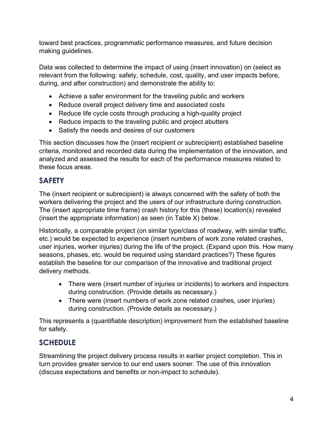toward best practices, programmatic performance measures, and future decision making guidelines.

Data was collected to determine the impact of using (insert innovation) on (select as relevant from the following: safety, schedule, cost, quality, and user impacts before, during, and after construction) and demonstrate the ability to:

- Achieve a safer environment for the traveling public and workers
- Reduce overall project delivery time and associated costs
- Reduce life cycle costs through producing a high-quality project
- Reduce impacts to the traveling public and project abutters
- Satisfy the needs and desires of our customers

This section discusses how the (insert recipient or subrecipient) established baseline criteria, monitored and recorded data during the implementation of the innovation, and analyzed and assessed the results for each of the performance measures related to these focus areas.

### <span id="page-5-0"></span>**SAFETY**

The (insert recipient or subrecipient) is always concerned with the safety of both the workers delivering the project and the users of our infrastructure during construction. The (insert appropriate time frame) crash history for this (these) location(s) revealed (insert the appropriate information) as seen (in Table X) below.

Historically, a comparable project (on similar type/class of roadway, with similar traffic, etc.) would be expected to experience (insert numbers of work zone related crashes, user injuries, worker injuries) during the life of the project. (Expand upon this. How many seasons, phases, etc. would be required using standard practices?) These figures establish the baseline for our comparison of the innovative and traditional project delivery methods.

- There were (insert number of injuries or incidents) to workers and inspectors during construction. (Provide details as necessary.)
- There were (insert numbers of work zone related crashes, user injuries) during construction. (Provide details as necessary.)

This represents a (quantifiable description) improvement from the established baseline for safety.

## <span id="page-5-1"></span>**SCHEDULE**

Streamlining the project delivery process results in earlier project completion. This in turn provides greater service to our end users sooner. The use of this innovation (discuss expectations and benefits or non-impact to schedule).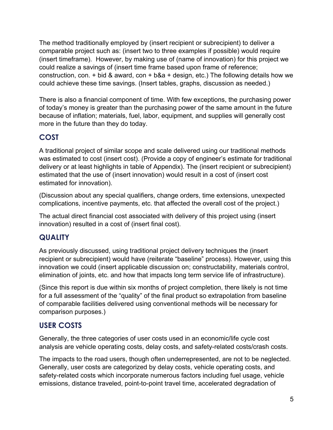The method traditionally employed by (insert recipient or subrecipient) to deliver a comparable project such as: (insert two to three examples if possible) would require (insert timeframe). However, by making use of (name of innovation) for this project we could realize a savings of (insert time frame based upon frame of reference; construction, con.  $+$  bid & award, con  $+$  b&a  $+$  design, etc.) The following details how we could achieve these time savings. (Insert tables, graphs, discussion as needed.)

There is also a financial component of time. With few exceptions, the purchasing power of today's money is greater than the purchasing power of the same amount in the future because of inflation; materials, fuel, labor, equipment, and supplies will generally cost more in the future than they do today.

### <span id="page-6-0"></span>**COST**

A traditional project of similar scope and scale delivered using our traditional methods was estimated to cost (insert cost). (Provide a copy of engineer's estimate for traditional delivery or at least highlights in table of Appendix). The (insert recipient or subrecipient) estimated that the use of (insert innovation) would result in a cost of (insert cost estimated for innovation).

(Discussion about any special qualifiers, change orders, time extensions, unexpected complications, incentive payments, etc. that affected the overall cost of the project.)

The actual direct financial cost associated with delivery of this project using (insert innovation) resulted in a cost of (insert final cost).

#### <span id="page-6-1"></span>**QUALITY**

As previously discussed, using traditional project delivery techniques the (insert recipient or subrecipient) would have (reiterate "baseline" process). However, using this innovation we could (insert applicable discussion on; constructability, materials control, elimination of joints, etc. and how that impacts long term service life of infrastructure).

(Since this report is due within six months of project completion, there likely is not time for a full assessment of the "quality" of the final product so extrapolation from baseline of comparable facilities delivered using conventional methods will be necessary for comparison purposes.)

### <span id="page-6-2"></span>**USER COSTS**

Generally, the three categories of user costs used in an economic/life cycle cost analysis are vehicle operating costs, delay costs, and safety-related costs/crash costs.

The impacts to the road users, though often underrepresented, are not to be neglected. Generally, user costs are categorized by delay costs, vehicle operating costs, and safety-related costs which incorporate numerous factors including fuel usage, vehicle emissions, distance traveled, point-to-point travel time, accelerated degradation of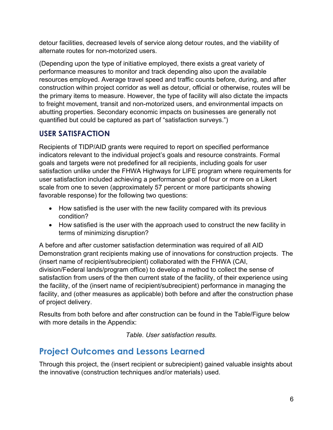detour facilities, decreased levels of service along detour routes, and the viability of alternate routes for non-motorized users.

(Depending upon the type of initiative employed, there exists a great variety of performance measures to monitor and track depending also upon the available resources employed. Average travel speed and traffic counts before, during, and after construction within project corridor as well as detour, official or otherwise, routes will be the primary items to measure. However, the type of facility will also dictate the impacts to freight movement, transit and non-motorized users, and environmental impacts on abutting properties. Secondary economic impacts on businesses are generally not quantified but could be captured as part of "satisfaction surveys.")

### <span id="page-7-0"></span>**USER SATISFACTION**

Recipients of TIDP/AID grants were required to report on specified performance indicators relevant to the individual project's goals and resource constraints. Formal goals and targets were not predefined for all recipients, including goals for user satisfaction unlike under the FHWA Highways for LIFE program where requirements for user satisfaction included achieving a performance goal of four or more on a Likert scale from one to seven (approximately 57 percent or more participants showing favorable response) for the following two questions:

- How satisfied is the user with the new facility compared with its previous condition?
- How satisfied is the user with the approach used to construct the new facility in terms of minimizing disruption?

A before and after customer satisfaction determination was required of all AID Demonstration grant recipients making use of innovations for construction projects. The (insert name of recipient/subrecipient) collaborated with the FHWA (CAI, division/Federal lands/program office) to develop a method to collect the sense of satisfaction from users of the then current state of the facility, of their experience using the facility, of the (insert name of recipient/subrecipient) performance in managing the facility, and (other measures as applicable) both before and after the construction phase of project delivery.

Results from both before and after construction can be found in the Table/Figure below with more details in the Appendix:

*Table. User satisfaction results.* 

## <span id="page-7-1"></span>**Project Outcomes and Lessons Learned**

Through this project, the (insert recipient or subrecipient) gained valuable insights about the innovative (construction techniques and/or materials) used.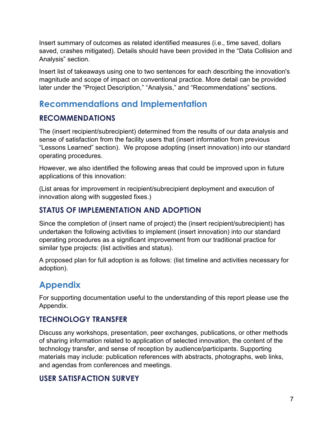Insert summary of outcomes as related identified measures (i.e., time saved, dollars saved, crashes mitigated). Details should have been provided in the "Data Collision and Analysis" section.

Insert list of takeaways using one to two sentences for each describing the innovation's magnitude and scope of impact on conventional practice. More detail can be provided later under the "Project Description," "Analysis," and "Recommendations" sections.

## <span id="page-8-0"></span>**Recommendations and Implementation**

#### <span id="page-8-1"></span>**RECOMMENDATIONS**

The (insert recipient/subrecipient) determined from the results of our data analysis and sense of satisfaction from the facility users that (insert information from previous "Lessons Learned" section). We propose adopting (insert innovation) into our standard operating procedures.

However, we also identified the following areas that could be improved upon in future applications of this innovation:

(List areas for improvement in recipient/subrecipient deployment and execution of innovation along with suggested fixes.)

### <span id="page-8-2"></span>**STATUS OF IMPLEMENTATION AND ADOPTION**

Since the completion of (insert name of project) the (insert recipient/subrecipient) has undertaken the following activities to implement (insert innovation) into our standard operating procedures as a significant improvement from our traditional practice for similar type projects: (list activities and status).

A proposed plan for full adoption is as follows: (list timeline and activities necessary for adoption).

## <span id="page-8-3"></span>**Appendix**

For supporting documentation useful to the understanding of this report please use the Appendix.

#### <span id="page-8-4"></span>**TECHNOLOGY TRANSFER**

Discuss any workshops, presentation, peer exchanges, publications, or other methods of sharing information related to application of selected innovation, the content of the technology transfer, and sense of reception by audience/participants. Supporting materials may include: publication references with abstracts, photographs, web links, and agendas from conferences and meetings.

### <span id="page-8-5"></span>**USER SATISFACTION SURVEY**